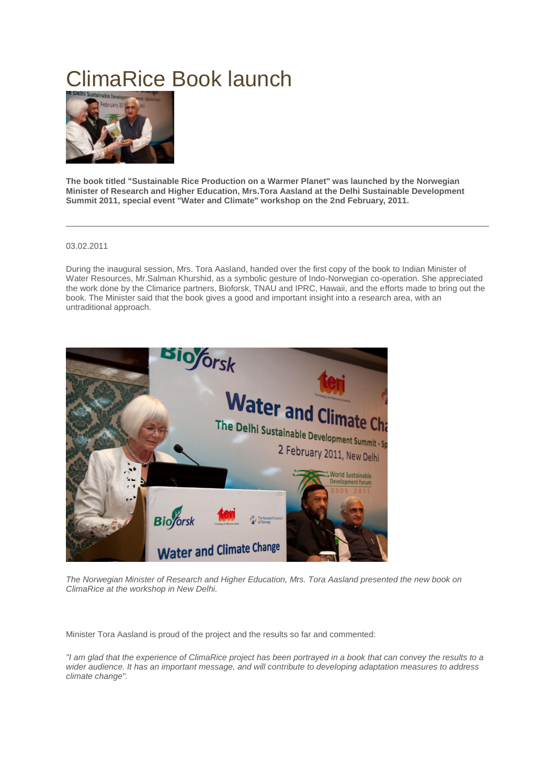## ClimaRice Book launch



**The book titled "Sustainable Rice Production on a Warmer Planet" was launched by the Norwegian Minister of Research and Higher Education, Mrs.Tora Aasland at the Delhi Sustainable Development Summit 2011, special event "Water and Climate" workshop on the 2nd February, 2011.**

## 03.02.2011

During the inaugural session, Mrs. Tora Aasland, handed over the first copy of the book to Indian Minister of Water Resources, Mr.Salman Khurshid, as a symbolic gesture of Indo-Norwegian co-operation. She appreciated the work done by the Climarice partners, Bioforsk, TNAU and IPRC, Hawaii, and the efforts made to bring out the book. The Minister said that the book gives a good and important insight into a research area, with an untraditional approach.



*The Norwegian Minister of Research and Higher Education, Mrs. Tora Aasland presented the new book on ClimaRice at the workshop in New Delhi.* 

Minister Tora Aasland is proud of the project and the results so far and commented:

*"I am glad that the experience of ClimaRice project has been portrayed in a book that can convey the results to a wider audience. It has an important message, and will contribute to developing adaptation measures to address climate change".*